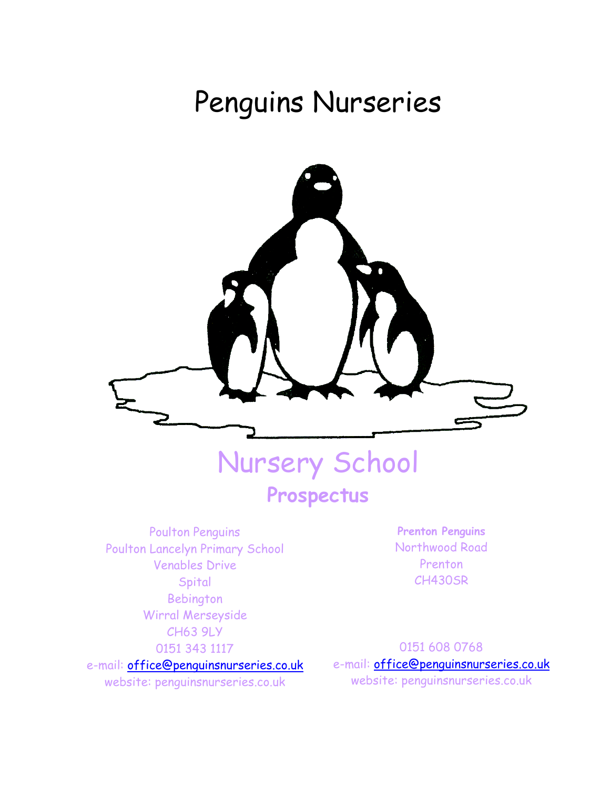# Penguins Nurseries



Poulton Penguins Poulton Lancelyn Primary School Venables Drive **Spital** Bebington Wirral Merseyside CH63 9LY 0151 343 1117 e-mail: [office@penguinsnurseries.co.uk](mailto:poulton@penguinsnurseries.co.uk)

website: penguinsnurseries.co.uk

**Prenton Penguins** Northwood Road Prenton CH430SR

0151 608 0768 e-mail: [office@penguinsnurseries.co.uk](mailto:poulton@penguinsnurseries.co.uk) website: penguinsnurseries.co.uk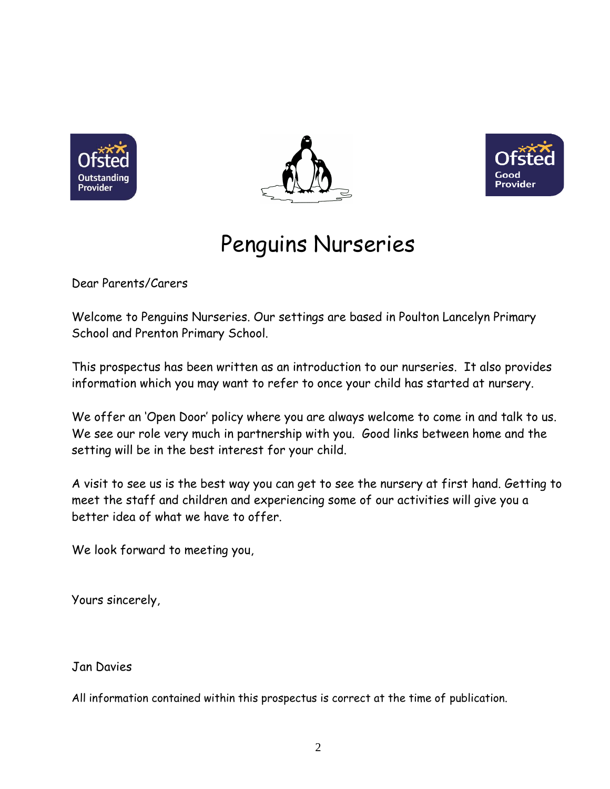





# Penguins Nurseries

Dear Parents/Carers

Welcome to Penguins Nurseries. Our settings are based in Poulton Lancelyn Primary School and Prenton Primary School.

This prospectus has been written as an introduction to our nurseries. It also provides information which you may want to refer to once your child has started at nursery.

We offer an 'Open Door' policy where you are always welcome to come in and talk to us. We see our role very much in partnership with you. Good links between home and the setting will be in the best interest for your child.

A visit to see us is the best way you can get to see the nursery at first hand. Getting to meet the staff and children and experiencing some of our activities will give you a better idea of what we have to offer.

We look forward to meeting you,

Yours sincerely,

### Jan Davies

All information contained within this prospectus is correct at the time of publication.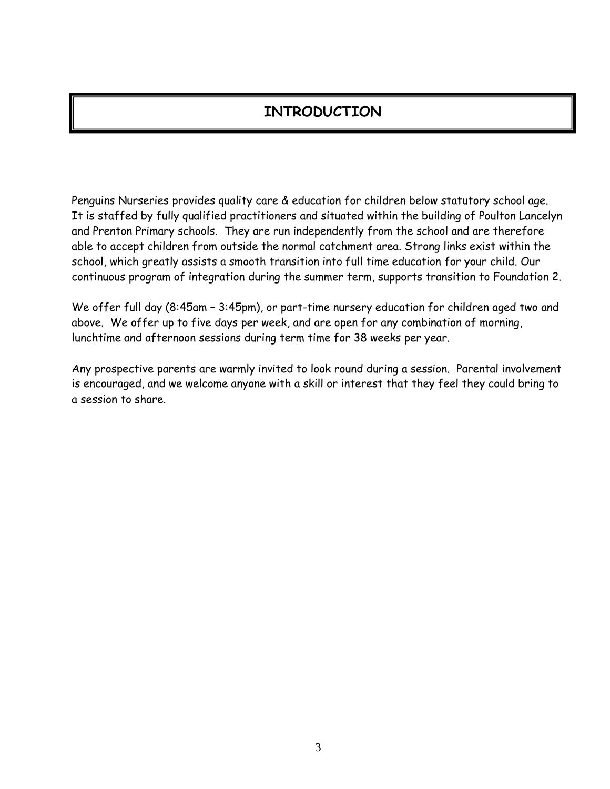# **INTRODUCTION**

Penguins Nurseries provides quality care & education for children below statutory school age. It is staffed by fully qualified practitioners and situated within the building of Poulton Lancelyn and Prenton Primary schools. They are run independently from the school and are therefore able to accept children from outside the normal catchment area. Strong links exist within the school, which greatly assists a smooth transition into full time education for your child. Our continuous program of integration during the summer term, supports transition to Foundation 2.

We offer full day (8:45am – 3:45pm), or part-time nursery education for children aged two and above. We offer up to five days per week, and are open for any combination of morning, lunchtime and afternoon sessions during term time for 38 weeks per year.

Any prospective parents are warmly invited to look round during a session. Parental involvement is encouraged, and we welcome anyone with a skill or interest that they feel they could bring to a session to share.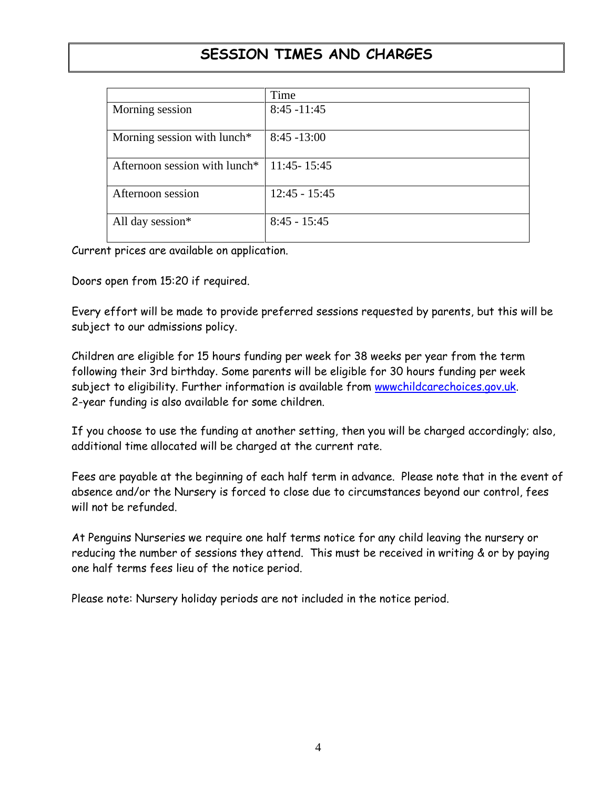# **SESSION TIMES AND CHARGES**

|                                           | Time            |
|-------------------------------------------|-----------------|
| Morning session                           | $8:45 - 11:45$  |
| Morning session with lunch*               | $8:45 - 13:00$  |
| Afternoon session with lunch <sup>*</sup> | $11:45 - 15:45$ |
| Afternoon session                         | $12:45 - 15:45$ |
| All day session*                          | $8:45 - 15:45$  |

Current prices are available on application.

Doors open from 15:20 if required.

Every effort will be made to provide preferred sessions requested by parents, but this will be subject to our admissions policy.

Children are eligible for 15 hours funding per week for 38 weeks per year from the term following their 3rd birthday. Some parents will be eligible for 30 hours funding per week subject to eligibility. Further information is available from [wwwchildcarechoices.gov.uk.](http://www.gov.uk/) 2-year funding is also available for some children.

If you choose to use the funding at another setting, then you will be charged accordingly; also, additional time allocated will be charged at the current rate.

Fees are payable at the beginning of each half term in advance. Please note that in the event of absence and/or the Nursery is forced to close due to circumstances beyond our control, fees will not be refunded.

At Penguins Nurseries we require one half terms notice for any child leaving the nursery or reducing the number of sessions they attend. This must be received in writing & or by paying one half terms fees lieu of the notice period.

Please note: Nursery holiday periods are not included in the notice period.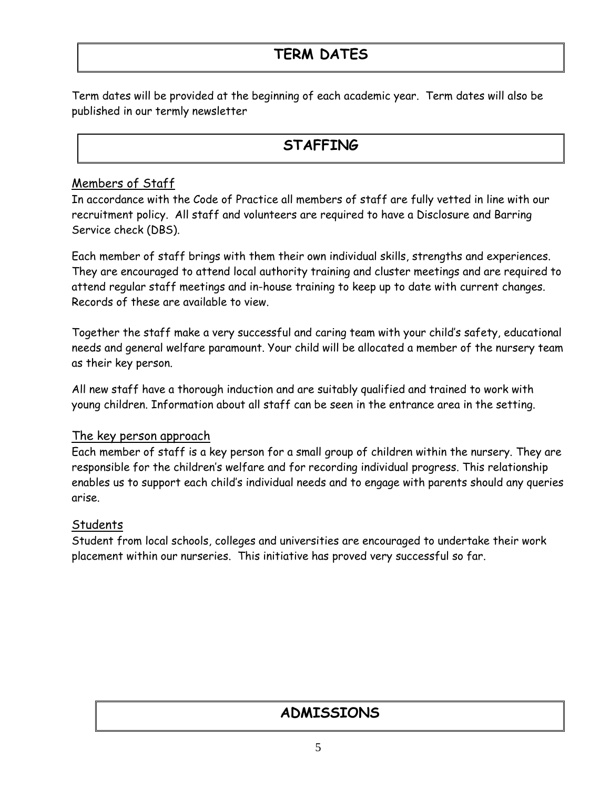# **TERM DATES**

Term dates will be provided at the beginning of each academic year. Term dates will also be published in our termly newsletter

### **STAFFING**

### Members of Staff

In accordance with the Code of Practice all members of staff are fully vetted in line with our recruitment policy. All staff and volunteers are required to have a Disclosure and Barring Service check (DBS).

Each member of staff brings with them their own individual skills, strengths and experiences. They are encouraged to attend local authority training and cluster meetings and are required to attend regular staff meetings and in-house training to keep up to date with current changes. Records of these are available to view.

Together the staff make a very successful and caring team with your child's safety, educational needs and general welfare paramount. Your child will be allocated a member of the nursery team as their key person.

All new staff have a thorough induction and are suitably qualified and trained to work with young children. Information about all staff can be seen in the entrance area in the setting.

### The key person approach

Each member of staff is a key person for a small group of children within the nursery. They are responsible for the children's welfare and for recording individual progress. This relationship enables us to support each child's individual needs and to engage with parents should any queries arise.

### **Students**

Student from local schools, colleges and universities are encouraged to undertake their work placement within our nurseries. This initiative has proved very successful so far.

# **ADMISSIONS**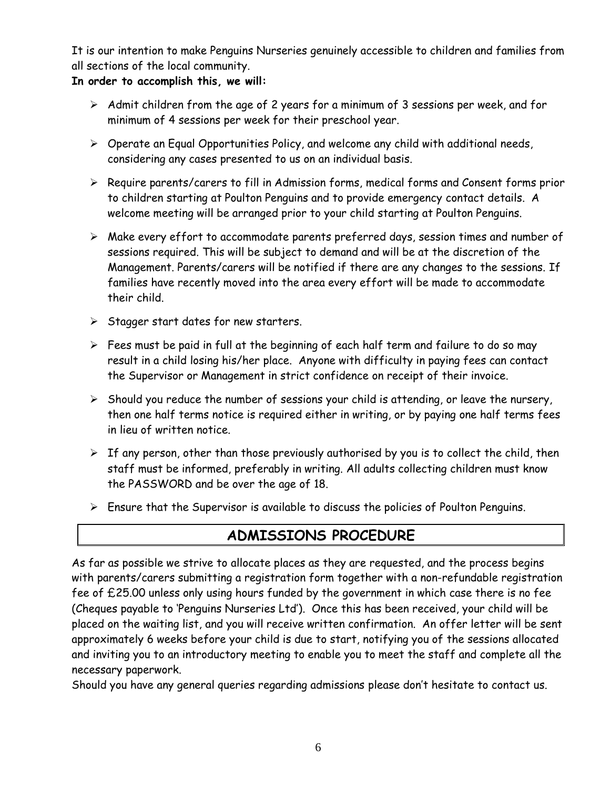It is our intention to make Penguins Nurseries genuinely accessible to children and families from all sections of the local community.

### **In order to accomplish this, we will:**

- ➢ Admit children from the age of 2 years for a minimum of 3 sessions per week, and for minimum of 4 sessions per week for their preschool year.
- ➢ Operate an Equal Opportunities Policy, and welcome any child with additional needs, considering any cases presented to us on an individual basis.
- ➢ Require parents/carers to fill in Admission forms, medical forms and Consent forms prior to children starting at Poulton Penguins and to provide emergency contact details. A welcome meeting will be arranged prior to your child starting at Poulton Penguins.
- ➢ Make every effort to accommodate parents preferred days, session times and number of sessions required. This will be subject to demand and will be at the discretion of the Management. Parents/carers will be notified if there are any changes to the sessions. If families have recently moved into the area every effort will be made to accommodate their child.
- ➢ Stagger start dates for new starters.
- $\triangleright$  Fees must be paid in full at the beginning of each half term and failure to do so may result in a child losing his/her place. Anyone with difficulty in paying fees can contact the Supervisor or Management in strict confidence on receipt of their invoice.
- $\triangleright$  Should you reduce the number of sessions your child is attending, or leave the nursery, then one half terms notice is required either in writing, or by paying one half terms fees in lieu of written notice.
- $\triangleright$  If any person, other than those previously authorised by you is to collect the child, then staff must be informed, preferably in writing. All adults collecting children must know the PASSWORD and be over the age of 18.
- $\triangleright$  Ensure that the Supervisor is available to discuss the policies of Poulton Penguins.

### **ADMISSIONS PROCEDURE**

As far as possible we strive to allocate places as they are requested, and the process begins with parents/carers submitting a registration form together with a non-refundable registration fee of £25.00 unless only using hours funded by the government in which case there is no fee (Cheques payable to 'Penguins Nurseries Ltd'). Once this has been received, your child will be placed on the waiting list, and you will receive written confirmation. An offer letter will be sent approximately 6 weeks before your child is due to start, notifying you of the sessions allocated and inviting you to an introductory meeting to enable you to meet the staff and complete all the necessary paperwork.

Should you have any general queries regarding admissions please don't hesitate to contact us.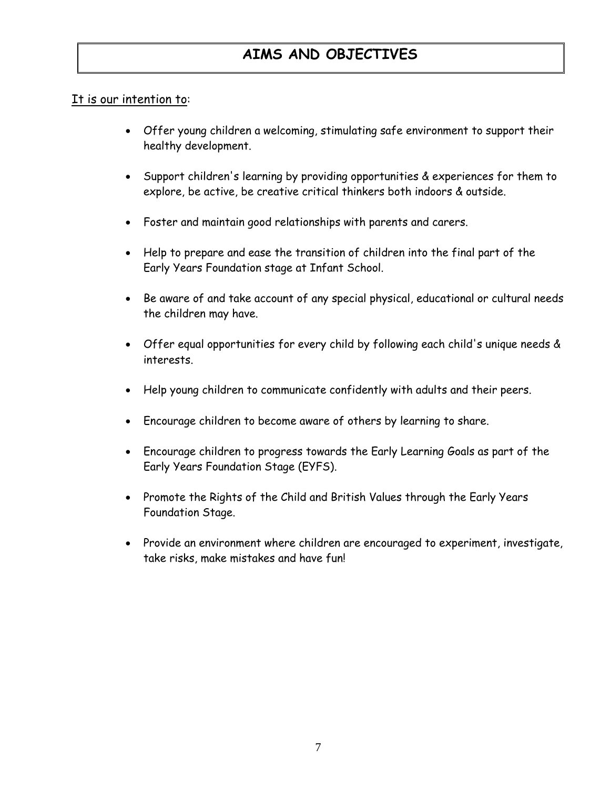# **AIMS AND OBJECTIVES**

### It is our intention to:

- Offer young children a welcoming, stimulating safe environment to support their healthy development.
- Support children's learning by providing opportunities & experiences for them to explore, be active, be creative critical thinkers both indoors & outside.
- Foster and maintain good relationships with parents and carers.
- Help to prepare and ease the transition of children into the final part of the Early Years Foundation stage at Infant School.
- Be aware of and take account of any special physical, educational or cultural needs the children may have.
- Offer equal opportunities for every child by following each child's unique needs & interests.
- Help young children to communicate confidently with adults and their peers.
- Encourage children to become aware of others by learning to share.
- Encourage children to progress towards the Early Learning Goals as part of the Early Years Foundation Stage (EYFS).
- Promote the Rights of the Child and British Values through the Early Years Foundation Stage.
- Provide an environment where children are encouraged to experiment, investigate, take risks, make mistakes and have fun!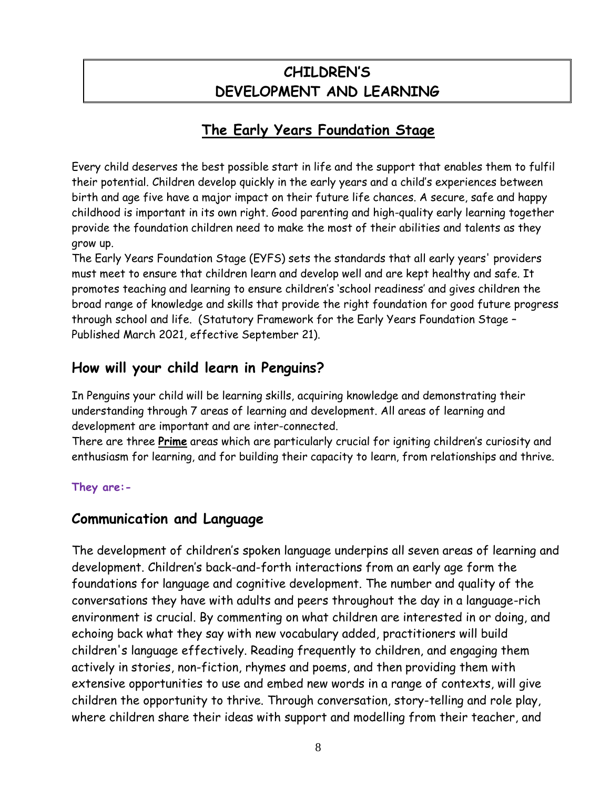# **CHILDREN'S DEVELOPMENT AND LEARNING**

# **The Early Years Foundation Stage**

Every child deserves the best possible start in life and the support that enables them to fulfil their potential. Children develop quickly in the early years and a child's experiences between birth and age five have a major impact on their future life chances. A secure, safe and happy childhood is important in its own right. Good parenting and high-quality early learning together provide the foundation children need to make the most of their abilities and talents as they grow up.

The Early Years Foundation Stage (EYFS) sets the standards that all early years' providers must meet to ensure that children learn and develop well and are kept healthy and safe. It promotes teaching and learning to ensure children's 'school readiness' and gives children the broad range of knowledge and skills that provide the right foundation for good future progress through school and life. (Statutory Framework for the Early Years Foundation Stage – Published March 2021, effective September 21).

### **How will your child learn in Penguins?**

In Penguins your child will be learning skills, acquiring knowledge and demonstrating their understanding through 7 areas of learning and development. All areas of learning and development are important and are inter-connected.

There are three **Prime** areas which are particularly crucial for igniting children's curiosity and enthusiasm for learning, and for building their capacity to learn, from relationships and thrive.

### **They are:-**

### **Communication and Language**

The development of children's spoken language underpins all seven areas of learning and development. Children's back-and-forth interactions from an early age form the foundations for language and cognitive development. The number and quality of the conversations they have with adults and peers throughout the day in a language-rich environment is crucial. By commenting on what children are interested in or doing, and echoing back what they say with new vocabulary added, practitioners will build children's language effectively. Reading frequently to children, and engaging them actively in stories, non-fiction, rhymes and poems, and then providing them with extensive opportunities to use and embed new words in a range of contexts, will give children the opportunity to thrive. Through conversation, story-telling and role play, where children share their ideas with support and modelling from their teacher, and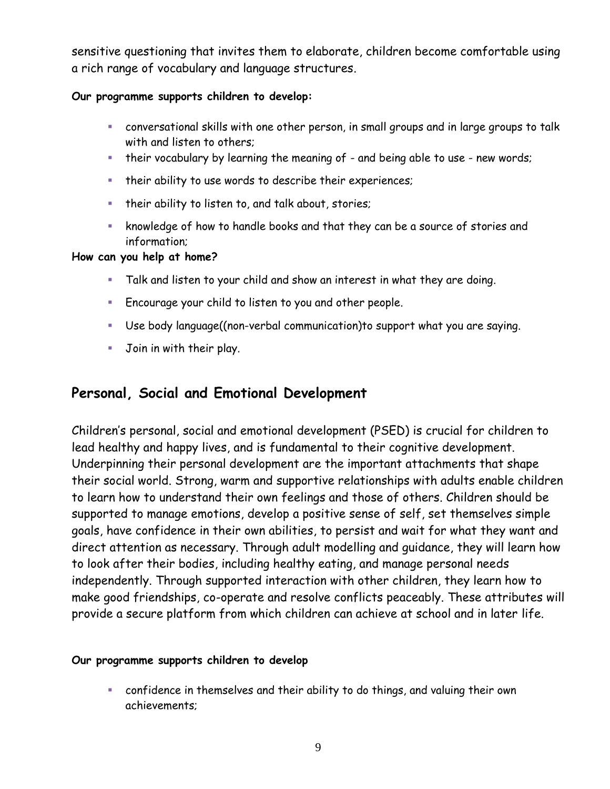sensitive questioning that invites them to elaborate, children become comfortable using a rich range of vocabulary and language structures.

### **Our programme supports children to develop:**

- conversational skills with one other person, in small groups and in large groups to talk with and listen to others;
- **•** their vocabulary by learning the meaning of and being able to use new words;
- their ability to use words to describe their experiences;
- **·** their ability to listen to, and talk about, stories;
- knowledge of how to handle books and that they can be a source of stories and information;

### **How can you help at home?**

- Talk and listen to your child and show an interest in what they are doing.
- Encourage your child to listen to you and other people.
- Use body language((non-verbal communication)to support what you are saying.
- Join in with their play.

### **Personal, Social and Emotional Development**

Children's personal, social and emotional development (PSED) is crucial for children to lead healthy and happy lives, and is fundamental to their cognitive development. Underpinning their personal development are the important attachments that shape their social world. Strong, warm and supportive relationships with adults enable children to learn how to understand their own feelings and those of others. Children should be supported to manage emotions, develop a positive sense of self, set themselves simple goals, have confidence in their own abilities, to persist and wait for what they want and direct attention as necessary. Through adult modelling and guidance, they will learn how to look after their bodies, including healthy eating, and manage personal needs independently. Through supported interaction with other children, they learn how to make good friendships, co-operate and resolve conflicts peaceably. These attributes will provide a secure platform from which children can achieve at school and in later life.

#### **Our programme supports children to develop**

▪ confidence in themselves and their ability to do things, and valuing their own achievements;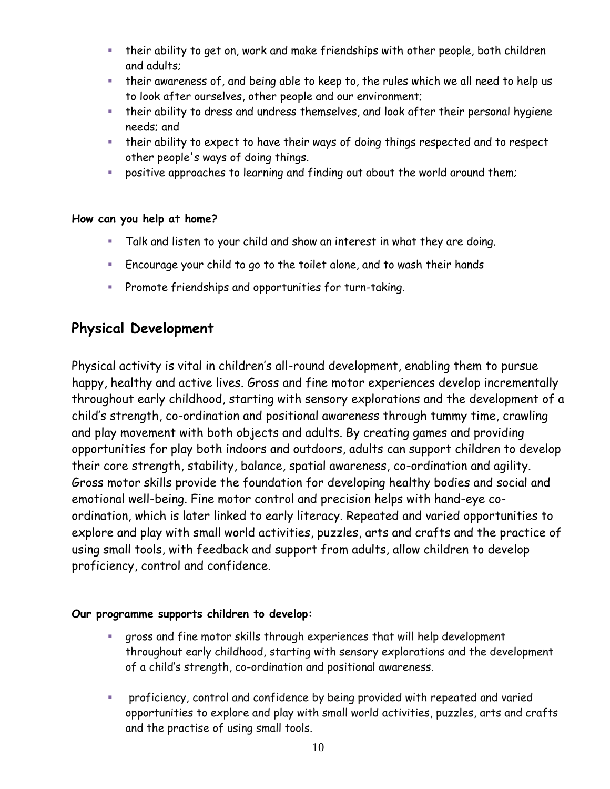- **.** their ability to get on, work and make friendships with other people, both children and adults;
- their awareness of, and being able to keep to, the rules which we all need to help us to look after ourselves, other people and our environment;
- **.** their ability to dress and undress themselves, and look after their personal hygiene needs; and
- their ability to expect to have their ways of doing things respected and to respect other people's ways of doing things.
- positive approaches to learning and finding out about the world around them;

### **How can you help at home?**

- Talk and listen to your child and show an interest in what they are doing.
- Encourage your child to go to the toilet alone, and to wash their hands
- Promote friendships and opportunities for turn-taking.

### **Physical Development**

Physical activity is vital in children's all-round development, enabling them to pursue happy, healthy and active lives. Gross and fine motor experiences develop incrementally throughout early childhood, starting with sensory explorations and the development of a child's strength, co-ordination and positional awareness through tummy time, crawling and play movement with both objects and adults. By creating games and providing opportunities for play both indoors and outdoors, adults can support children to develop their core strength, stability, balance, spatial awareness, co-ordination and agility. Gross motor skills provide the foundation for developing healthy bodies and social and emotional well-being. Fine motor control and precision helps with hand-eye coordination, which is later linked to early literacy. Repeated and varied opportunities to explore and play with small world activities, puzzles, arts and crafts and the practice of using small tools, with feedback and support from adults, allow children to develop proficiency, control and confidence.

### **Our programme supports children to develop:**

- gross and fine motor skills through experiences that will help development throughout early childhood, starting with sensory explorations and the development of a child's strength, co-ordination and positional awareness.
- proficiency, control and confidence by being provided with repeated and varied opportunities to explore and play with small world activities, puzzles, arts and crafts and the practise of using small tools.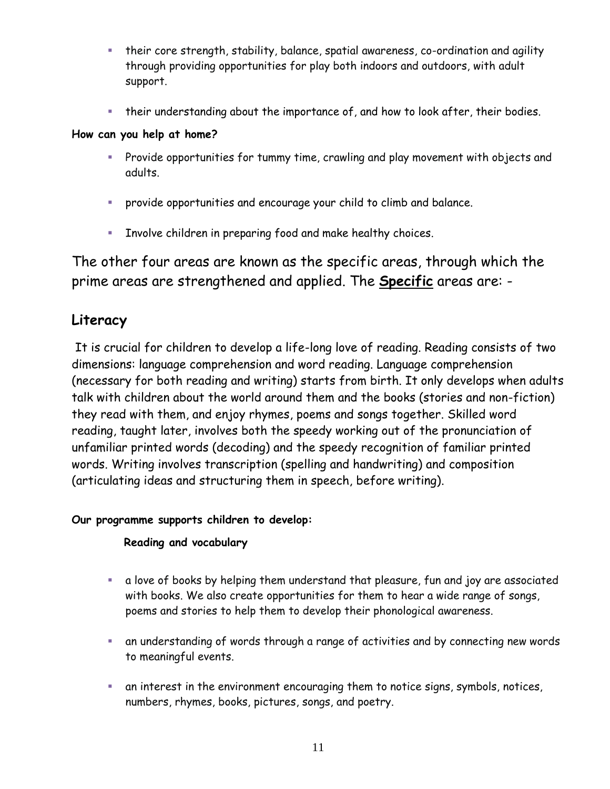- their core strength, stability, balance, spatial awareness, co-ordination and agility through providing opportunities for play both indoors and outdoors, with adult support.
- **.** their understanding about the importance of, and how to look after, their bodies.

#### **How can you help at home?**

- Provide opportunities for tummy time, crawling and play movement with objects and adults.
- provide opportunities and encourage your child to climb and balance.
- Involve children in preparing food and make healthy choices.

The other four areas are known as the specific areas, through which the prime areas are strengthened and applied. The **Specific** areas are: -

### **Literacy**

It is crucial for children to develop a life-long love of reading. Reading consists of two dimensions: language comprehension and word reading. Language comprehension (necessary for both reading and writing) starts from birth. It only develops when adults talk with children about the world around them and the books (stories and non-fiction) they read with them, and enjoy rhymes, poems and songs together. Skilled word reading, taught later, involves both the speedy working out of the pronunciation of unfamiliar printed words (decoding) and the speedy recognition of familiar printed words. Writing involves transcription (spelling and handwriting) and composition (articulating ideas and structuring them in speech, before writing).

#### **Our programme supports children to develop:**

### **Reading and vocabulary**

- a love of books by helping them understand that pleasure, fun and joy are associated with books. We also create opportunities for them to hear a wide range of songs, poems and stories to help them to develop their phonological awareness.
- **EXT** an understanding of words through a range of activities and by connecting new words to meaningful events.
- **EXED** an interest in the environment encouraging them to notice signs, symbols, notices, numbers, rhymes, books, pictures, songs, and poetry.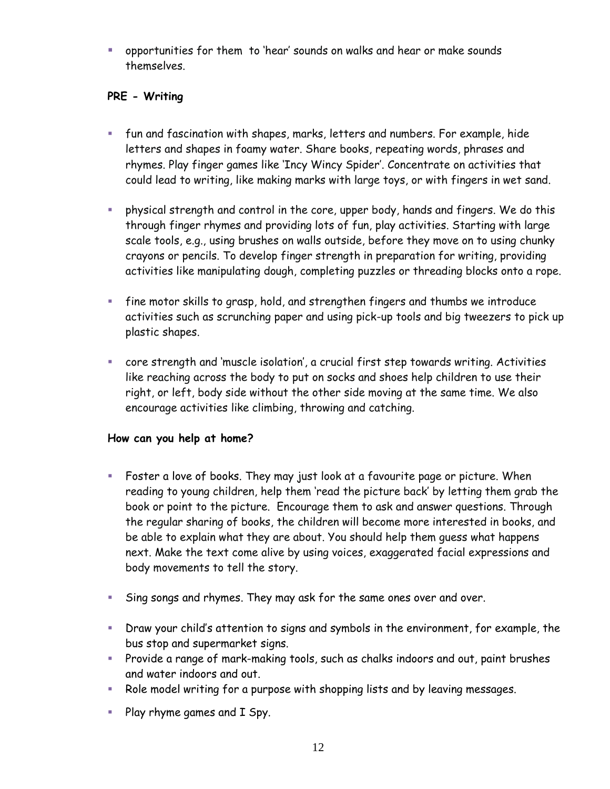▪ opportunities for them to 'hear' sounds on walks and hear or make sounds themselves.

### **PRE - Writing**

- fun and fascination with shapes, marks, letters and numbers. For example, hide letters and shapes in foamy water. Share books, repeating words, phrases and rhymes. Play finger games like 'Incy Wincy Spider'. Concentrate on activities that could lead to writing, like making marks with large toys, or with fingers in wet sand.
- physical strength and control in the core, upper body, hands and fingers. We do this through finger rhymes and providing lots of fun, play activities. Starting with large scale tools, e.g., using brushes on walls outside, before they move on to using chunky crayons or pencils. To develop finger strength in preparation for writing, providing activities like manipulating dough, completing puzzles or threading blocks onto a rope.
- fine motor skills to grasp, hold, and strengthen fingers and thumbs we introduce activities such as scrunching paper and using pick-up tools and big tweezers to pick up plastic shapes.
- core strength and 'muscle isolation', a crucial first step towards writing. Activities like reaching across the body to put on socks and shoes help children to use their right, or left, body side without the other side moving at the same time. We also encourage activities like climbing, throwing and catching.

#### **How can you help at home?**

- Foster a love of books. They may just look at a favourite page or picture. When reading to young children, help them 'read the picture back' by letting them grab the book or point to the picture. Encourage them to ask and answer questions. Through the regular sharing of books, the children will become more interested in books, and be able to explain what they are about. You should help them guess what happens next. Make the text come alive by using voices, exaggerated facial expressions and body movements to tell the story.
- Sing songs and rhymes. They may ask for the same ones over and over.
- Draw your child's attention to signs and symbols in the environment, for example, the bus stop and supermarket signs.
- Provide a range of mark-making tools, such as chalks indoors and out, paint brushes and water indoors and out.
- Role model writing for a purpose with shopping lists and by leaving messages.
- Play rhyme games and I Spy.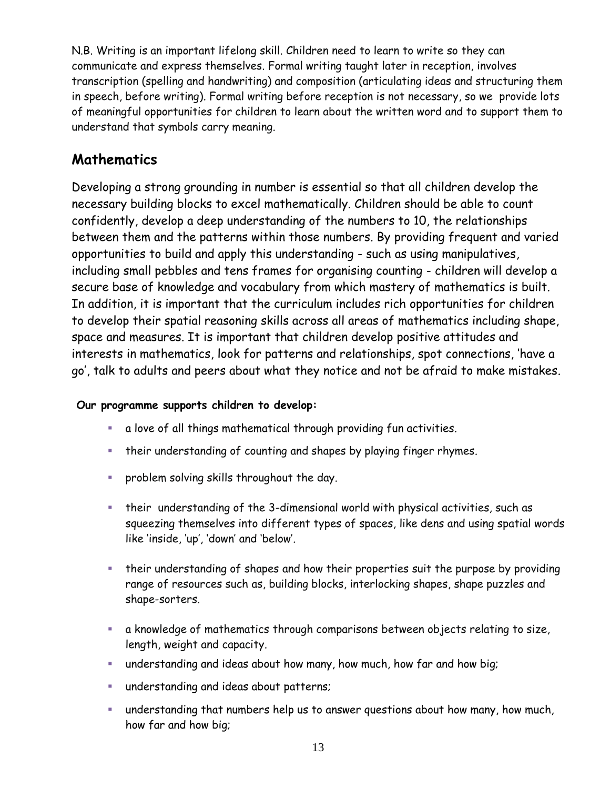N.B. Writing is an important lifelong skill. Children need to learn to write so they can communicate and express themselves. Formal writing taught later in reception, involves transcription (spelling and handwriting) and composition (articulating ideas and structuring them in speech, before writing). Formal writing before reception is not necessary, so we provide lots of meaningful opportunities for children to learn about the written word and to support them to understand that symbols carry meaning.

### **Mathematics**

Developing a strong grounding in number is essential so that all children develop the necessary building blocks to excel mathematically. Children should be able to count confidently, develop a deep understanding of the numbers to 10, the relationships between them and the patterns within those numbers. By providing frequent and varied opportunities to build and apply this understanding - such as using manipulatives, including small pebbles and tens frames for organising counting - children will develop a secure base of knowledge and vocabulary from which mastery of mathematics is built. In addition, it is important that the curriculum includes rich opportunities for children to develop their spatial reasoning skills across all areas of mathematics including shape, space and measures. It is important that children develop positive attitudes and interests in mathematics, look for patterns and relationships, spot connections, 'have a go', talk to adults and peers about what they notice and not be afraid to make mistakes.

### **Our programme supports children to develop:**

- a love of all things mathematical through providing fun activities.
- **•** their understanding of counting and shapes by playing finger rhymes.
- **•** problem solving skills throughout the day.
- their understanding of the 3-dimensional world with physical activities, such as squeezing themselves into different types of spaces, like dens and using spatial words like 'inside, 'up', 'down' and 'below'.
- **•** their understanding of shapes and how their properties suit the purpose by providing range of resources such as, building blocks, interlocking shapes, shape puzzles and shape-sorters.
- a knowledge of mathematics through comparisons between objects relating to size, length, weight and capacity.
- understanding and ideas about how many, how much, how far and how big;
- understanding and ideas about patterns;
- **EXTM** understanding that numbers help us to answer questions about how many, how much, how far and how big;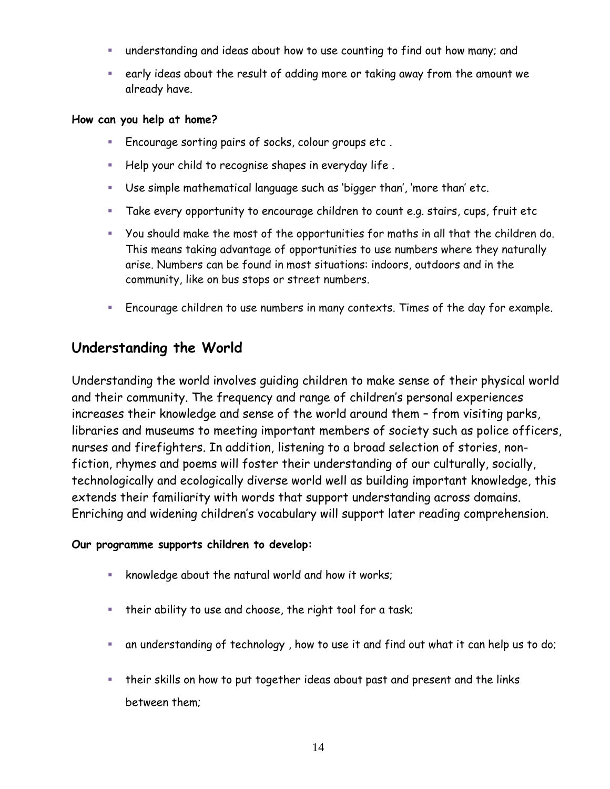- understanding and ideas about how to use counting to find out how many; and
- early ideas about the result of adding more or taking away from the amount we already have.

#### **How can you help at home?**

- Encourage sorting pairs of socks, colour groups etc .
- Help your child to recognise shapes in everyday life .
- Use simple mathematical language such as 'bigger than', 'more than' etc.
- Take every opportunity to encourage children to count e.g. stairs, cups, fruit etc
- You should make the most of the opportunities for maths in all that the children do. This means taking advantage of opportunities to use numbers where they naturally arise. Numbers can be found in most situations: indoors, outdoors and in the community, like on bus stops or street numbers.
- Encourage children to use numbers in many contexts. Times of the day for example.

### **Understanding the World**

Understanding the world involves guiding children to make sense of their physical world and their community. The frequency and range of children's personal experiences increases their knowledge and sense of the world around them – from visiting parks, libraries and museums to meeting important members of society such as police officers, nurses and firefighters. In addition, listening to a broad selection of stories, nonfiction, rhymes and poems will foster their understanding of our culturally, socially, technologically and ecologically diverse world well as building important knowledge, this extends their familiarity with words that support understanding across domains. Enriching and widening children's vocabulary will support later reading comprehension.

#### **Our programme supports children to develop:**

- knowledge about the natural world and how it works;
- **.** their ability to use and choose, the right tool for a task;
- an understanding of technology , how to use it and find out what it can help us to do;
- their skills on how to put together ideas about past and present and the links between them;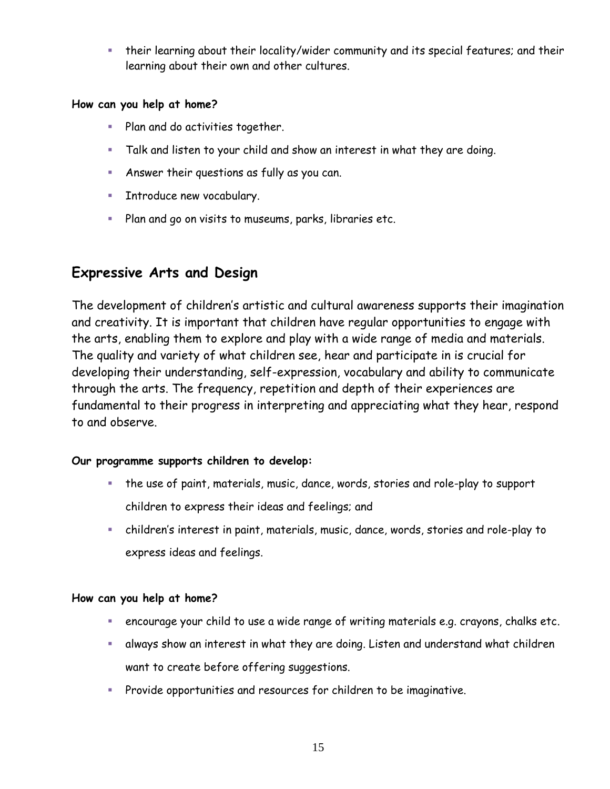**E** their learning about their locality/wider community and its special features; and their learning about their own and other cultures.

#### **How can you help at home?**

- Plan and do activities together.
- Talk and listen to your child and show an interest in what they are doing.
- **E** Answer their questions as fully as you can.
- **EXECUTE:** Introduce new vocabulary.
- Plan and go on visits to museums, parks, libraries etc.

### **Expressive Arts and Design**

The development of children's artistic and cultural awareness supports their imagination and creativity. It is important that children have regular opportunities to engage with the arts, enabling them to explore and play with a wide range of media and materials. The quality and variety of what children see, hear and participate in is crucial for developing their understanding, self-expression, vocabulary and ability to communicate through the arts. The frequency, repetition and depth of their experiences are fundamental to their progress in interpreting and appreciating what they hear, respond to and observe.

### **Our programme supports children to develop:**

- the use of paint, materials, music, dance, words, stories and role-play to support children to express their ideas and feelings; and
- children's interest in paint, materials, music, dance, words, stories and role-play to express ideas and feelings.

### **How can you help at home?**

- encourage your child to use a wide range of writing materials e.g. crayons, chalks etc.
- **E** always show an interest in what they are doing. Listen and understand what children want to create before offering suggestions.
- Provide opportunities and resources for children to be imaginative.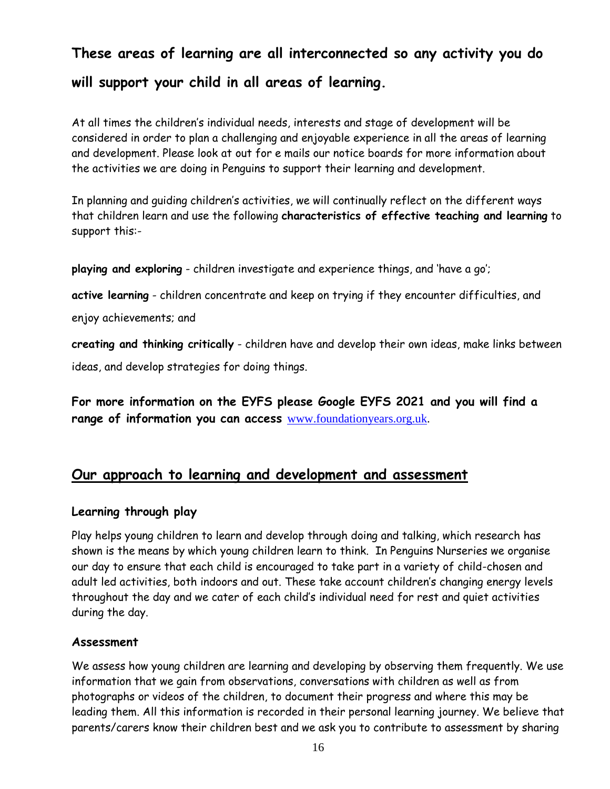# **These areas of learning are all interconnected so any activity you do will support your child in all areas of learning.**

At all times the children's individual needs, interests and stage of development will be considered in order to plan a challenging and enjoyable experience in all the areas of learning and development. Please look at out for e mails our notice boards for more information about the activities we are doing in Penguins to support their learning and development.

In planning and guiding children's activities, we will continually reflect on the different ways that children learn and use the following **characteristics of effective teaching and learning** to support this:-

**playing and exploring** - children investigate and experience things, and 'have a go';

**active learning** - children concentrate and keep on trying if they encounter difficulties, and

enjoy achievements; and

**creating and thinking critically** - children have and develop their own ideas, make links between ideas, and develop strategies for doing things.

**For more information on the EYFS please Google EYFS 2021 and you will find a range of information you can access** [www.foundationyears.org.uk.](http://www.foundationyears.org.uk/)

### **Our approach to learning and development and assessment**

#### **Learning through play**

Play helps young children to learn and develop through doing and talking, which research has shown is the means by which young children learn to think. In Penguins Nurseries we organise our day to ensure that each child is encouraged to take part in a variety of child-chosen and adult led activities, both indoors and out. These take account children's changing energy levels throughout the day and we cater of each child's individual need for rest and quiet activities during the day.

#### **Assessment**

We assess how young children are learning and developing by observing them frequently. We use information that we gain from observations, conversations with children as well as from photographs or videos of the children, to document their progress and where this may be leading them. All this information is recorded in their personal learning journey. We believe that parents/carers know their children best and we ask you to contribute to assessment by sharing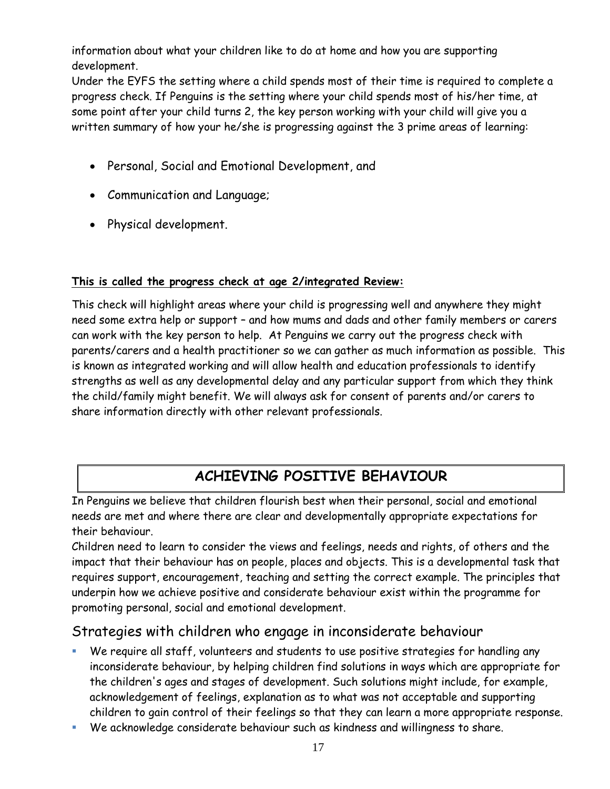information about what your children like to do at home and how you are supporting development.

Under the EYFS the setting where a child spends most of their time is required to complete a progress check. If Penguins is the setting where your child spends most of his/her time, at some point after your child turns 2, the key person working with your child will give you a written summary of how your he/she is progressing against the 3 prime areas of learning:

- Personal, Social and Emotional Development, and
- Communication and Language;
- Physical development.

### **This is called the progress check at age 2/integrated Review:**

This check will highlight areas where your child is progressing well and anywhere they might need some extra help or support – and how mums and dads and other family members or carers can work with the key person to help. At Penguins we carry out the progress check with parents/carers and a health practitioner so we can gather as much information as possible. This is known as integrated working and will allow health and education professionals to identify strengths as well as any developmental delay and any particular support from which they think the child/family might benefit. We will always ask for consent of parents and/or carers to share information directly with other relevant professionals.

# **ACHIEVING POSITIVE BEHAVIOUR**

In Penguins we believe that children flourish best when their personal, social and emotional needs are met and where there are clear and developmentally appropriate expectations for their behaviour.

Children need to learn to consider the views and feelings, needs and rights, of others and the impact that their behaviour has on people, places and objects. This is a developmental task that requires support, encouragement, teaching and setting the correct example. The principles that underpin how we achieve positive and considerate behaviour exist within the programme for promoting personal, social and emotional development.

### Strategies with children who engage in inconsiderate behaviour

- We require all staff, volunteers and students to use positive strategies for handling any inconsiderate behaviour, by helping children find solutions in ways which are appropriate for the children's ages and stages of development. Such solutions might include, for example, acknowledgement of feelings, explanation as to what was not acceptable and supporting children to gain control of their feelings so that they can learn a more appropriate response.
- We acknowledge considerate behaviour such as kindness and willingness to share.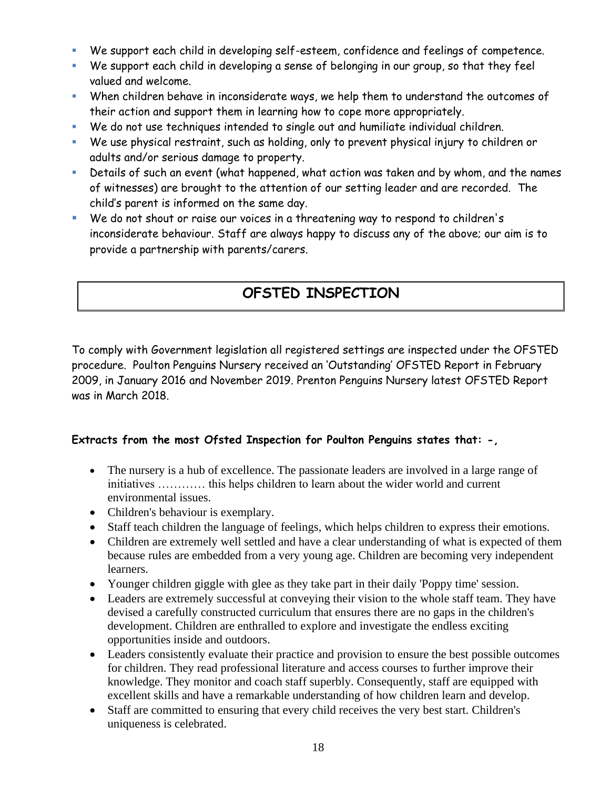- We support each child in developing self-esteem, confidence and feelings of competence.
- We support each child in developing a sense of belonging in our group, so that they feel valued and welcome.
- When children behave in inconsiderate ways, we help them to understand the outcomes of their action and support them in learning how to cope more appropriately.
- We do not use techniques intended to single out and humiliate individual children.
- We use physical restraint, such as holding, only to prevent physical injury to children or adults and/or serious damage to property.
- **EXP** Details of such an event (what happened, what action was taken and by whom, and the names of witnesses) are brought to the attention of our setting leader and are recorded. The child's parent is informed on the same day.
- We do not shout or raise our voices in a threatening way to respond to children's inconsiderate behaviour. Staff are always happy to discuss any of the above; our aim is to provide a partnership with parents/carers.

# **OFSTED INSPECTION**

To comply with Government legislation all registered settings are inspected under the OFSTED procedure. Poulton Penguins Nursery received an 'Outstanding' OFSTED Report in February 2009, in January 2016 and November 2019. Prenton Penguins Nursery latest OFSTED Report was in March 2018.

### **Extracts from the most Ofsted Inspection for Poulton Penguins states that: -,**

- The nursery is a hub of excellence. The passionate leaders are involved in a large range of initiatives ………… this helps children to learn about the wider world and current environmental issues.
- Children's behaviour is exemplary.
- Staff teach children the language of feelings, which helps children to express their emotions.
- Children are extremely well settled and have a clear understanding of what is expected of them because rules are embedded from a very young age. Children are becoming very independent learners.
- Younger children giggle with glee as they take part in their daily 'Poppy time' session.
- Leaders are extremely successful at conveying their vision to the whole staff team. They have devised a carefully constructed curriculum that ensures there are no gaps in the children's development. Children are enthralled to explore and investigate the endless exciting opportunities inside and outdoors.
- Leaders consistently evaluate their practice and provision to ensure the best possible outcomes for children. They read professional literature and access courses to further improve their knowledge. They monitor and coach staff superbly. Consequently, staff are equipped with excellent skills and have a remarkable understanding of how children learn and develop.
- Staff are committed to ensuring that every child receives the very best start. Children's uniqueness is celebrated.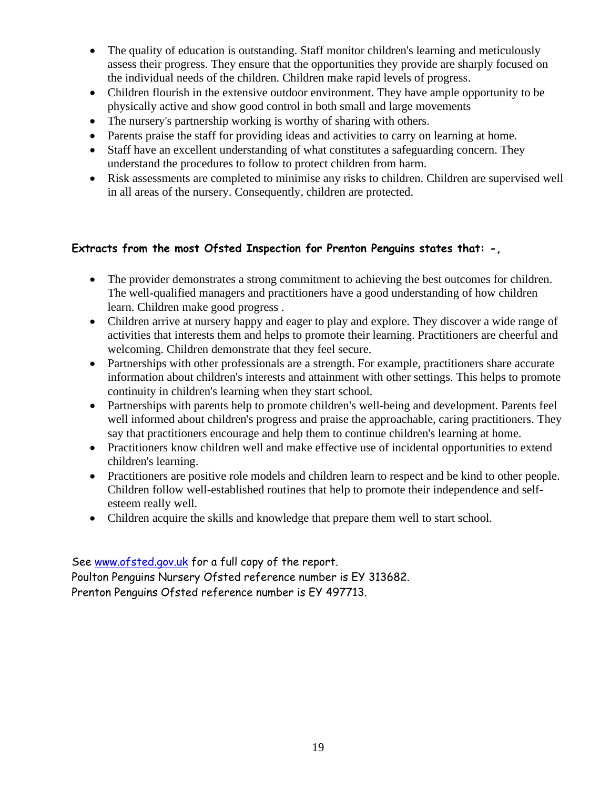- The quality of education is outstanding. Staff monitor children's learning and meticulously assess their progress. They ensure that the opportunities they provide are sharply focused on the individual needs of the children. Children make rapid levels of progress.
- Children flourish in the extensive outdoor environment. They have ample opportunity to be physically active and show good control in both small and large movements
- The nursery's partnership working is worthy of sharing with others.
- Parents praise the staff for providing ideas and activities to carry on learning at home.
- Staff have an excellent understanding of what constitutes a safeguarding concern. They understand the procedures to follow to protect children from harm.
- Risk assessments are completed to minimise any risks to children. Children are supervised well in all areas of the nursery. Consequently, children are protected.

### **Extracts from the most Ofsted Inspection for Prenton Penguins states that: -,**

- The provider demonstrates a strong commitment to achieving the best outcomes for children. The well-qualified managers and practitioners have a good understanding of how children learn. Children make good progress .
- Children arrive at nursery happy and eager to play and explore. They discover a wide range of activities that interests them and helps to promote their learning. Practitioners are cheerful and welcoming. Children demonstrate that they feel secure.
- Partnerships with other professionals are a strength. For example, practitioners share accurate information about children's interests and attainment with other settings. This helps to promote continuity in children's learning when they start school.
- Partnerships with parents help to promote children's well-being and development. Parents feel well informed about children's progress and praise the approachable, caring practitioners. They say that practitioners encourage and help them to continue children's learning at home.
- Practitioners know children well and make effective use of incidental opportunities to extend children's learning.
- Practitioners are positive role models and children learn to respect and be kind to other people. Children follow well-established routines that help to promote their independence and selfesteem really well.
- Children acquire the skills and knowledge that prepare them well to start school.

See [www.ofsted.gov.uk](http://www.ofsted.gov.uk/) for a full copy of the report. Poulton Penguins Nursery Ofsted reference number is EY 313682.

Prenton Penguins Ofsted reference number is EY 497713.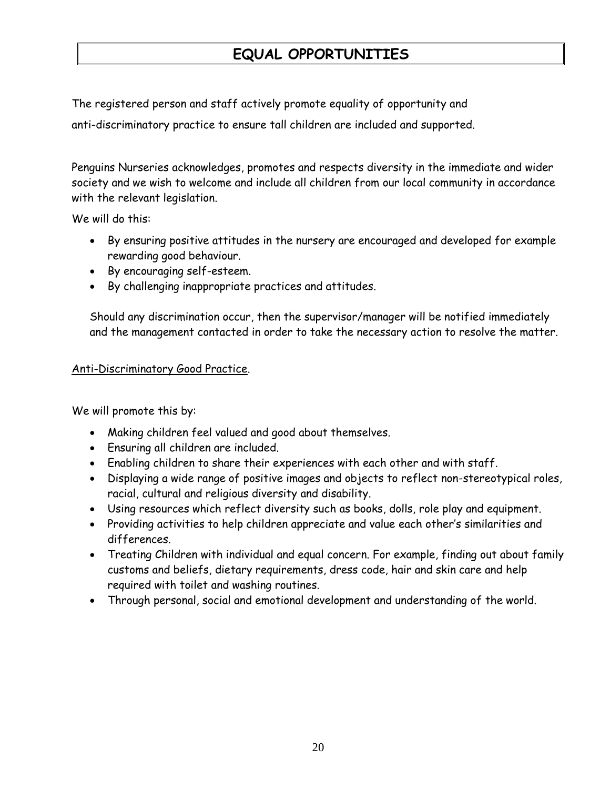# **EQUAL OPPORTUNITIES**

The registered person and staff actively promote equality of opportunity and

anti-discriminatory practice to ensure tall children are included and supported.

Penguins Nurseries acknowledges, promotes and respects diversity in the immediate and wider society and we wish to welcome and include all children from our local community in accordance with the relevant legislation.

We will do this:

- By ensuring positive attitudes in the nursery are encouraged and developed for example rewarding good behaviour.
- By encouraging self-esteem.
- By challenging inappropriate practices and attitudes.

Should any discrimination occur, then the supervisor/manager will be notified immediately and the management contacted in order to take the necessary action to resolve the matter.

#### Anti-Discriminatory Good Practice.

We will promote this by:

- Making children feel valued and good about themselves.
- Ensuring all children are included.
- Enabling children to share their experiences with each other and with staff.
- Displaying a wide range of positive images and objects to reflect non-stereotypical roles, racial, cultural and religious diversity and disability.
- Using resources which reflect diversity such as books, dolls, role play and equipment.
- Providing activities to help children appreciate and value each other's similarities and differences.
- Treating Children with individual and equal concern. For example, finding out about family customs and beliefs, dietary requirements, dress code, hair and skin care and help required with toilet and washing routines.
- Through personal, social and emotional development and understanding of the world.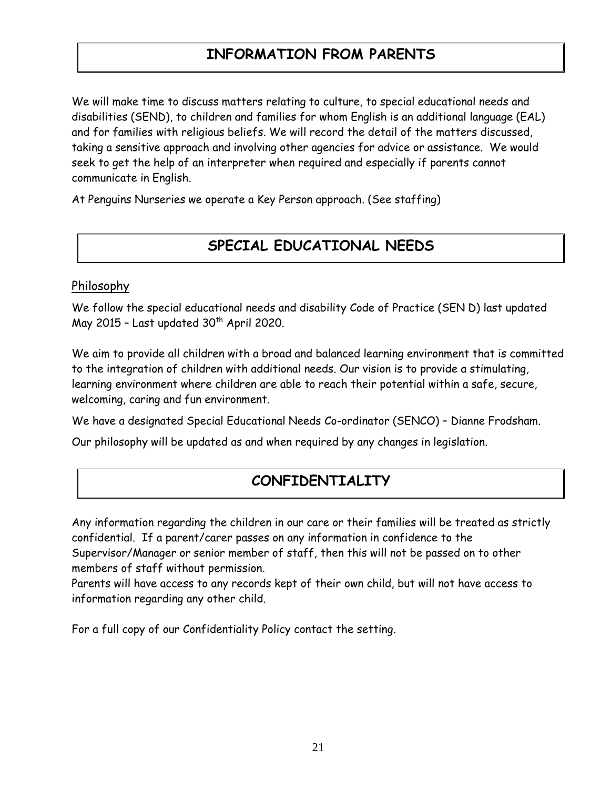# **INFORMATION FROM PARENTS**

We will make time to discuss matters relating to culture, to special educational needs and disabilities (SEND), to children and families for whom English is an additional language (EAL) and for families with religious beliefs. We will record the detail of the matters discussed, taking a sensitive approach and involving other agencies for advice or assistance. We would seek to get the help of an interpreter when required and especially if parents cannot communicate in English.

At Penguins Nurseries we operate a Key Person approach. (See staffing)

# **SPECIAL EDUCATIONAL NEEDS**

### Philosophy

We follow the special educational needs and disability Code of Practice (SEN D) last updated May 2015 - Last updated  $30<sup>th</sup>$  April 2020.

We aim to provide all children with a broad and balanced learning environment that is committed to the integration of children with additional needs. Our vision is to provide a stimulating, learning environment where children are able to reach their potential within a safe, secure, welcoming, caring and fun environment.

We have a designated Special Educational Needs Co-ordinator (SENCO) – Dianne Frodsham.

Our philosophy will be updated as and when required by any changes in legislation.

### **CONFIDENTIALITY**

Any information regarding the children in our care or their families will be treated as strictly confidential. If a parent/carer passes on any information in confidence to the Supervisor/Manager or senior member of staff, then this will not be passed on to other members of staff without permission.

Parents will have access to any records kept of their own child, but will not have access to information regarding any other child.

For a full copy of our Confidentiality Policy contact the setting.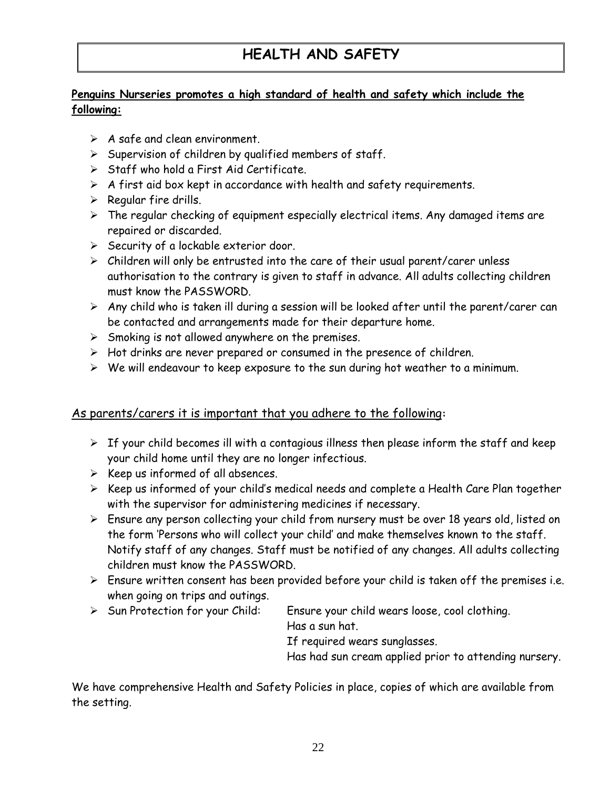# **HEALTH AND SAFETY**

### **Penguins Nurseries promotes a high standard of health and safety which include the following:**

- $\triangleright$  A safe and clean environment.
- $\triangleright$  Supervision of children by qualified members of staff.
- ➢ Staff who hold a First Aid Certificate.
- $\triangleright$  A first aid box kept in accordance with health and safety requirements.
- $\triangleright$  Regular fire drills.
- $\triangleright$  The regular checking of equipment especially electrical items. Any damaged items are repaired or discarded.
- ➢ Security of a lockable exterior door.
- $\triangleright$  Children will only be entrusted into the care of their usual parent/carer unless authorisation to the contrary is given to staff in advance. All adults collecting children must know the PASSWORD.
- $\triangleright$  Any child who is taken ill during a session will be looked after until the parent/carer can be contacted and arrangements made for their departure home.
- $\triangleright$  Smoking is not allowed anywhere on the premises.
- ➢ Hot drinks are never prepared or consumed in the presence of children.
- ➢ We will endeavour to keep exposure to the sun during hot weather to a minimum.

### As parents/carers it is important that you adhere to the following**:**

- $\triangleright$  If your child becomes ill with a contagious illness then please inform the staff and keep your child home until they are no longer infectious.
- $\triangleright$  Keep us informed of all absences.
- ➢ Keep us informed of your child's medical needs and complete a Health Care Plan together with the supervisor for administering medicines if necessary.
- ➢ Ensure any person collecting your child from nursery must be over 18 years old, listed on the form 'Persons who will collect your child' and make themselves known to the staff. Notify staff of any changes. Staff must be notified of any changes. All adults collecting children must know the PASSWORD.
- $\triangleright$  Ensure written consent has been provided before your child is taken off the premises i.e. when going on trips and outings.
- ➢ Sun Protection for your Child: Ensure your child wears loose, cool clothing.

Has a sun hat.

If required wears sunglasses.

Has had sun cream applied prior to attending nursery.

We have comprehensive Health and Safety Policies in place, copies of which are available from the setting.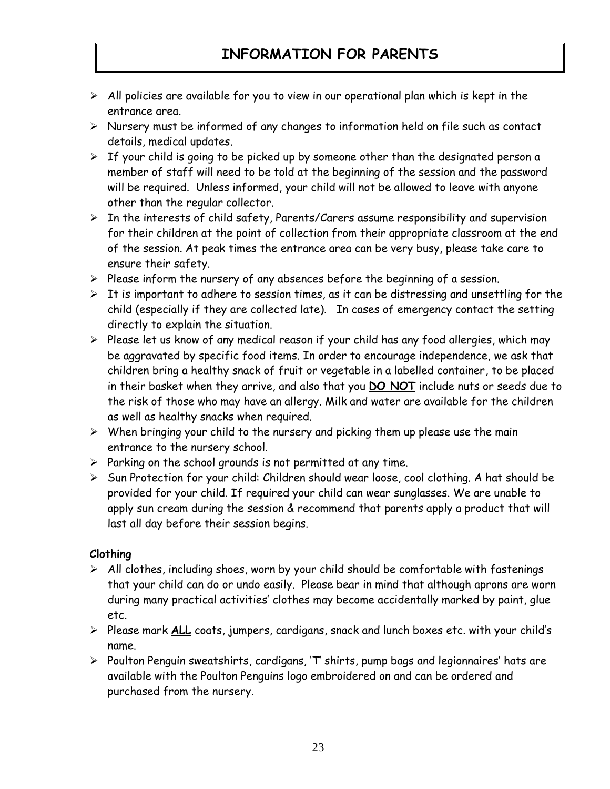# **INFORMATION FOR PARENTS**

- $\triangleright$  All policies are available for you to view in our operational plan which is kept in the entrance area.
- ➢ Nursery must be informed of any changes to information held on file such as contact details, medical updates.
- ➢ If your child is going to be picked up by someone other than the designated person a member of staff will need to be told at the beginning of the session and the password will be required. Unless informed, your child will not be allowed to leave with anyone other than the regular collector.
- ➢ In the interests of child safety, Parents/Carers assume responsibility and supervision for their children at the point of collection from their appropriate classroom at the end of the session. At peak times the entrance area can be very busy, please take care to ensure their safety.
- ➢ Please inform the nursery of any absences before the beginning of a session.
- $\triangleright$  It is important to adhere to session times, as it can be distressing and unsettling for the child (especially if they are collected late). In cases of emergency contact the setting directly to explain the situation.
- ➢ Please let us know of any medical reason if your child has any food allergies, which may be aggravated by specific food items. In order to encourage independence, we ask that children bring a healthy snack of fruit or vegetable in a labelled container, to be placed in their basket when they arrive, and also that you **DO NOT** include nuts or seeds due to the risk of those who may have an allergy. Milk and water are available for the children as well as healthy snacks when required.
- $\triangleright$  When bringing your child to the nursery and picking them up please use the main entrance to the nursery school.
- $\triangleright$  Parking on the school grounds is not permitted at any time.
- ➢ Sun Protection for your child: Children should wear loose, cool clothing. A hat should be provided for your child. If required your child can wear sunglasses. We are unable to apply sun cream during the session & recommend that parents apply a product that will last all day before their session begins.

#### **Clothing**

- $\triangleright$  All clothes, including shoes, worn by your child should be comfortable with fastenings that your child can do or undo easily. Please bear in mind that although aprons are worn during many practical activities' clothes may become accidentally marked by paint, glue etc.
- ➢ Please mark **ALL** coats, jumpers, cardigans, snack and lunch boxes etc. with your child's name.
- ➢ Poulton Penguin sweatshirts, cardigans, 'T' shirts, pump bags and legionnaires' hats are available with the Poulton Penguins logo embroidered on and can be ordered and purchased from the nursery.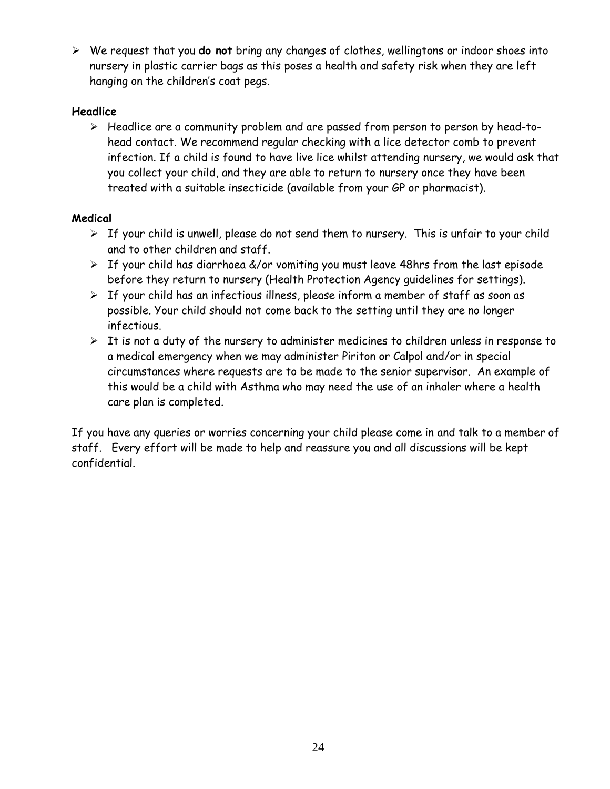➢ We request that you **do not** bring any changes of clothes, wellingtons or indoor shoes into nursery in plastic carrier bags as this poses a health and safety risk when they are left hanging on the children's coat pegs.

### **Headlice**

➢ Headlice are a community problem and are passed from person to person by head-tohead contact. We recommend regular checking with a lice detector comb to prevent infection. If a child is found to have live lice whilst attending nursery, we would ask that you collect your child, and they are able to return to nursery once they have been treated with a suitable insecticide (available from your GP or pharmacist).

### **Medical**

- $\triangleright$  If your child is unwell, please do not send them to nursery. This is unfair to your child and to other children and staff.
- $\triangleright$  If your child has diarrhoea &/or vomiting you must leave 48hrs from the last episode before they return to nursery (Health Protection Agency guidelines for settings).
- $\triangleright$  If your child has an infectious illness, please inform a member of staff as soon as possible. Your child should not come back to the setting until they are no longer infectious.
- $\triangleright$  It is not a duty of the nursery to administer medicines to children unless in response to a medical emergency when we may administer Piriton or Calpol and/or in special circumstances where requests are to be made to the senior supervisor. An example of this would be a child with Asthma who may need the use of an inhaler where a health care plan is completed.

If you have any queries or worries concerning your child please come in and talk to a member of staff. Every effort will be made to help and reassure you and all discussions will be kept confidential.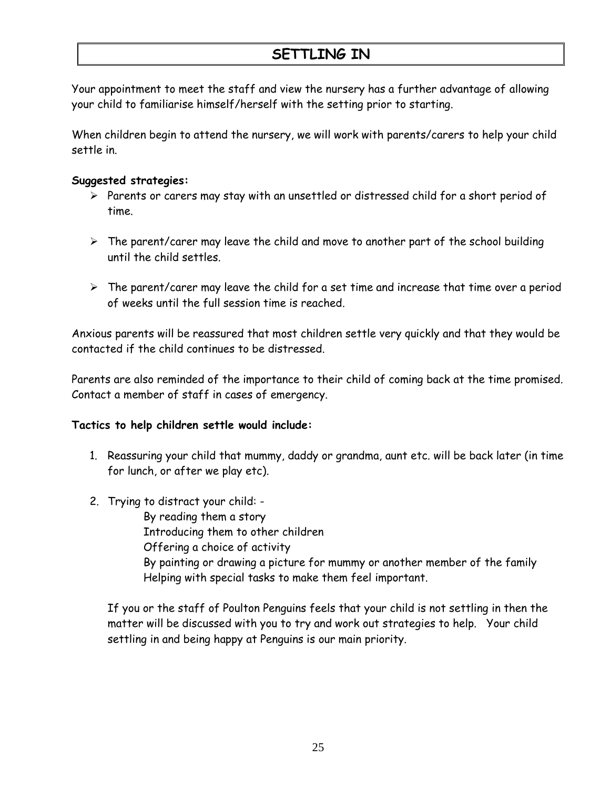# **SETTLING IN**

Your appointment to meet the staff and view the nursery has a further advantage of allowing your child to familiarise himself/herself with the setting prior to starting.

When children begin to attend the nursery, we will work with parents/carers to help your child settle in.

#### **Suggested strategies:**

- ➢ Parents or carers may stay with an unsettled or distressed child for a short period of time.
- $\triangleright$  The parent/carer may leave the child and move to another part of the school building until the child settles.
- $\triangleright$  The parent/carer may leave the child for a set time and increase that time over a period of weeks until the full session time is reached.

Anxious parents will be reassured that most children settle very quickly and that they would be contacted if the child continues to be distressed.

Parents are also reminded of the importance to their child of coming back at the time promised. Contact a member of staff in cases of emergency.

### **Tactics to help children settle would include:**

- 1. Reassuring your child that mummy, daddy or grandma, aunt etc. will be back later (in time for lunch, or after we play etc).
- 2. Trying to distract your child: -

By reading them a story Introducing them to other children Offering a choice of activity By painting or drawing a picture for mummy or another member of the family Helping with special tasks to make them feel important.

If you or the staff of Poulton Penguins feels that your child is not settling in then the matter will be discussed with you to try and work out strategies to help. Your child settling in and being happy at Penguins is our main priority.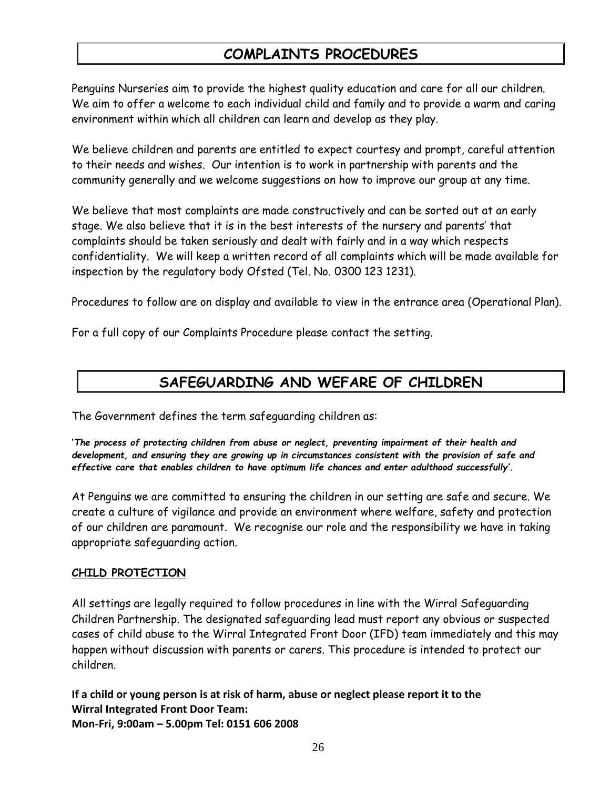### **COMPLAINTS PROCEDURES**

Penguins Nurseries aim to provide the highest quality education and care for all our children. We aim to offer a welcome to each individual child and family and to provide a warm and caring environment within which all children can learn and develop as they play.

We believe children and parents are entitled to expect courtesy and prompt, careful attention to their needs and wishes. Our intention is to work in partnership with parents and the community generally and we welcome suggestions on how to improve our group at any time.

We believe that most complaints are made constructively and can be sorted out at an early stage. We also believe that it is in the best interests of the nursery and parents' that complaints should be taken seriously and dealt with fairly and in a way which respects confidentiality. We will keep a written record of all complaints which will be made available for inspection by the regulatory body Ofsted (Tel. No. 0300 123 1231).

Procedures to follow are on display and available to view in the entrance area (Operational Plan).

For a full copy of our Complaints Procedure please contact the setting.

# **SAFEGUARDING AND WEFARE OF CHILDREN**

The Government defines the term safeguarding children as:

**'***The process of protecting children from abuse or neglect, preventing impairment of their health and development, and ensuring they are growing up in circumstances consistent with the provision of safe and effective care that enables children to have optimum life chances and enter adulthood successfully'.*

At Penguins we are committed to ensuring the children in our setting are safe and secure. We create a culture of vigilance and provide an environment where welfare, safety and protection of our children are paramount. We recognise our role and the responsibility we have in taking appropriate safeguarding action.

### **CHILD PROTECTION**

All settings are legally required to follow procedures in line with the Wirral Safeguarding Children Partnership. The designated safeguarding lead must report any obvious or suspected cases of child abuse to the Wirral Integrated Front Door (IFD) team immediately and this may happen without discussion with parents or carers. This procedure is intended to protect our children.

**If a child or young person is at risk of harm, abuse or neglect please report it to the Wirral Integrated Front Door Team: Mon-Fri, 9:00am – 5.00pm Tel: 0151 606 2008**